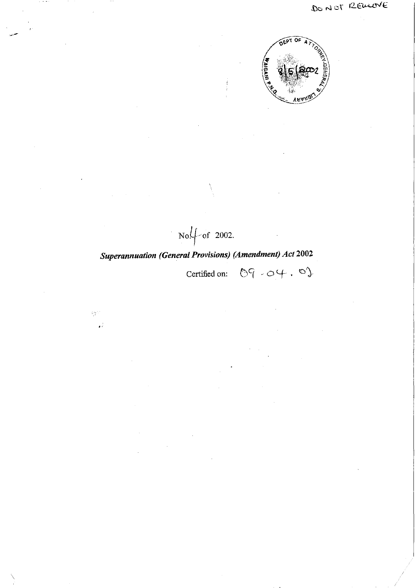

 $\text{No}\sqrt{\ }$  of 2002.

"

 $\frac{1}{2}$ 

Certified on:  $\mathbb{O}9 \cdot \mathbb{O}4 \cdot \mathbb{O}2$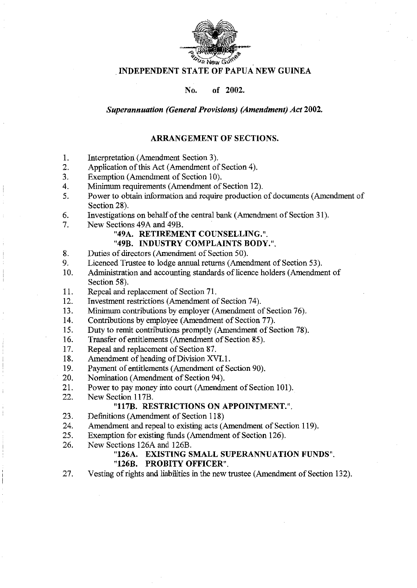

#### · INDEPENDENT STATE OF PAPUA NEW GUINEA

No. of 2002.

*Superannuation (General Provisions) (Amendment) Act 2002.* 

## ARRANGEMENT OF SECTIONS.

- 1. Interpretation (Amendment Section 3).
- 2. Application of this Act (Amendment of Section 4).
- 3. Exemption (Amendment of Section 10).
- 4. Minimum requirements (Amendment of Section 12).
- 5. Power to obtain information and require production of documents (Amendment of Section 28).
- 6. Investigations on behalf of the central bank (Amendment of Section 31).
- 7. New Sections 49A and 49B.
	- "49A. RETIREMENT COUNSELLING.".
	- "49B. INDUSTRY COMPLAINTS BODY.".
- 8. Duties of directors (Amendment of Section 50).
- 9. Licenced Trustee to lodge annual returns (Amendment of Section 53).
- 10. Administration and accounting standards of licence holders (Amendment of Section 58).
- 11. Repeal and replacement of Section 71.
- 12. Investment restrictions (Amendment of Section 74).
- 13. Minimum contributions by employer (Amendment of Section 76).
- 14. Contributions by employee (Amendment of Section 77).
- 15. Duty to remit contributions promptly (Amendment of Section 78).
- 16. Transfer of entitlements (Amendment of Section 85).
- 17. Repeal and replacement of Section 87.
- 18. Amendment of heading of Division XVL1.
- 19. Payment of entitlements (Amendment of Section 90).
- 20. Nomination (Amendment of Section 94).
- 21. Power to pay money into court (Amendment of Section 101).
- 22. New Section 117B.

#### "117B. RESTRICTIONS ON APPOINTMENT.".

- 23. Definitions (Amendment of Section 118)
- 24. Amendment and repeal to existing acts (Amendment of Section 119).
- 25. Exemption for existing funds (Amendment of Section 126).
- 26. New Sections 126A and 126B.

## "126A. EXISTING SMALL SUPERANNUATION FUNDS".

#### "126B. PROBITY OFFICER".

27. Vesting of rights and liabilities in the new trustee (Amendment of Section 132).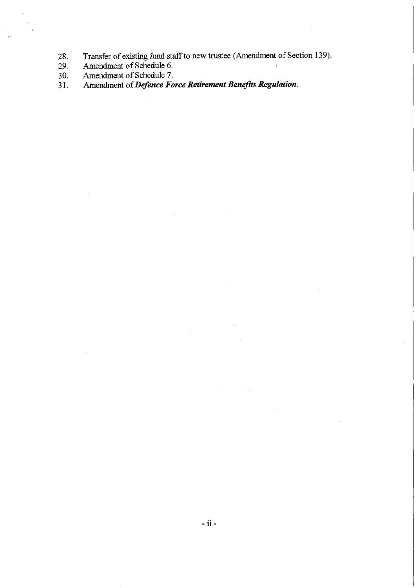28. Transfer of existing fund staff to new trustee (Amendment of Section 139).

- 29. Amendment of Schedule 6.
- 30. Amendment of Schedule 7.<br>31. Amendment of *Defence Fo*
- 31. Amendment of *Defence Force Retirement Benefits RegUlation.*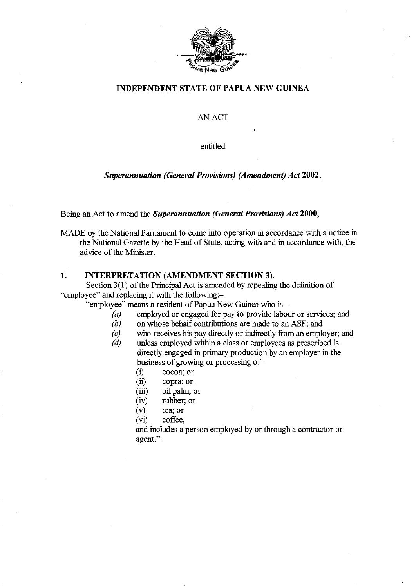

# INDEPENDENT STATE OF PAPUA NEW GUINEA

#### AN ACT

entitled

#### *Superannuation (General Provisions) (Amendment) Act 2002,*

Being an Act to amend the *Superannuation (General Provisions) Act 2000,* 

MADE by the National Parliament to come into operation in accordance with a notice in the National Gazette by the Head of State, acting with and in accordance with, the advice of the Minister.

#### 1. INTERPRETATION (AMENDMENT SECTION 3).

Section 3(1) of the Principal Act is amended by repealing the definition of "employee" and replacing it with the following:-

"employee" means a resident of Papua New Guinea who is -

- *(a)* employed or engaged for pay to provide labour or services; and
- *(b)* on whose behalf contributions are made to an ASF; and
- *(c)* who receives his pay directly or indirectly from an employer; and
- *(d)* unless employed within a class or employees as prescribed is directly engaged in primary production by an employer in the business of growing or processing of-
	- (i) cocoa; or
	- (ii) copra; or
	- (iii) oil pahn; or
	- (iv) rubber; or
	- (v) tea; or
	- (vi) coffee,

and includes a person employed by or through a contractor or agent.".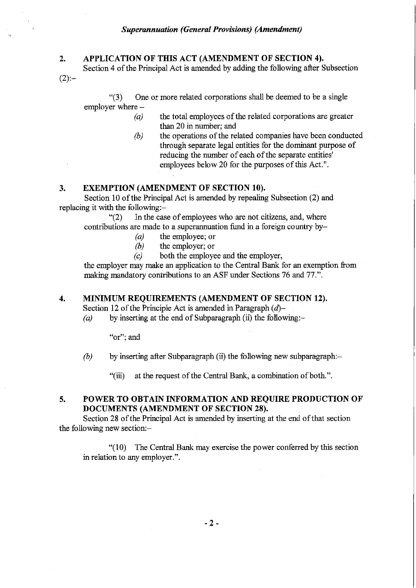# **2. APPLICATION OF THIS ACT (AMENDMENT OF SECTION 4).**

Section 4 of the Principal Act is amended by adding the following after Subsection

"(3) One or more related corporations shall be deemed to be a single employer where -

- *(a)*  the total employees of the related corporations are greater than 20 in number; and
- *(b)*  the operations of the related companies have been conducted through separate legal entities for the dominant purpose of reducing the number of each of the separate entities' employees below 20 for the purposes of this Act.".

# **3. EXEMPTION (AMENDMENT OF SECTION 10).**

Section 10 of the Principal Act is amended by repealing Subsection (2) and replacing it with the following:-

"(2) In the case of employees who are not citizens, and, where contributions are made to a superannuation fund in a foreign country by-

- *(a)* the employee; or
- *(b)* the employer; or

*(c)* both the employee and the employer,

the employer may make an application to the Central Bank for an exemption from making mandatory contributions to an ASF under Sections 76 and 77.".

#### **4. MINIMUM REQUIREMENTS (AMENDMENT OF SECTION 12).**

Section 12 of the Principle Act is amended in Paragraph  $(d)$ -

 $(a)$  by inserting at the end of Subparagraph (ii) the following:-

**"or"; and** 

 $(2) -$ 

*(b)* by inserting after Subparagraph *(ii)* the following new subparagraph:-

"(iii) at the request of the Central Bank, a combination of both.".

## **S. POWER TO OBTAIN INFORMATION AND REQUIRE PRODUCTION OF DOCUMENTS (AMENDMENT OF SECTION 28).**

Section 28 of the Principal Act is amended by inserting at the end of that section the following new section:-

"(10) The Central Bank may exercise the power conferred by this section in relation to any employer.".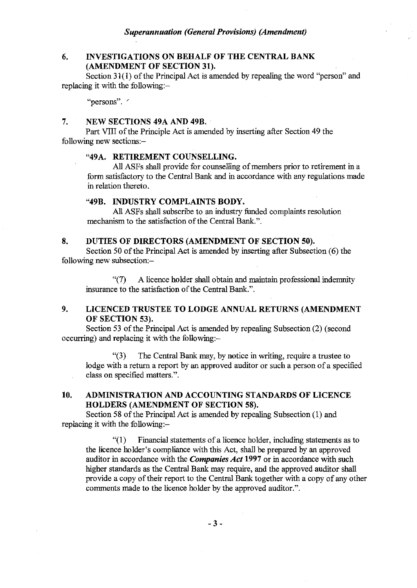# 6. INVESTIGATIONS ON BEHALF OF THE CENTRAL BANK (AMENDMENT OF SECTION 31).

Section 31(1) of the Principal Act is amended by repealing the word "person" and replacing it with the following:-

**"persons".** /'

## 7. NEW SECTIONS 49A AND 49B.

Part YIll of the Principle Act is amended by inserting after Section 49 the following new sections:-

#### "49A. RETIREMENT COUNSELLING.

All ASFs shall provide for counselling of members prior to retirement in a form satisfactory to the Central Bank and in accordance with any regulations made in relation thereto.

#### "49B. INDUSTRY COMPLAINTS BODY.

All ASFs shall subscribe to an industry funded complaints resolution mechanism to the satisfaction of the Central Bank.".

## 8. DUTIES OF DIRECTORS (AMENDMENT OF SECTION 50).

Section 50 of the Principal Act is amended by inserting after Subsection (6) the following new subsection:-

"(7) A licence holder shall obtain and maintain professional indemnity insurance to the satisfaction of the Central Bank.".

# 9. LICENCED TRUSTEE TO LODGE ANNUAL RETURNS (AMENDMENT OF SECTION 53).

Section 53 of the Principal Act is amended by repealing Subsection (2) (second occurring) and replacing it with the following:-

"(3) The Central Bank may, by notice in writing, require a trustee to lodge with a return a report by an approved auditor or such a person of a specified class on specified matters.".

# 10. ADMINISTRATION AND ACCOUNTING STANDARDS OF LICENCE HOLDERS (AMENDMENT OF SECTION 58).

Section 58 of the Principal Act is amended by repealing Subsection (1) and replacing it with the following:-

 $\degree$ (1) Financial statements of a licence holder, including statements as to the licence holder's compliance with this Act, shall be prepared by an approved auditor in accordance with the *Companies Act* 1997 or in accordance with such higher standards as the Central Bank may require, and the approved auditor shall provide a copy of their report to the Central Bank together with a copy of any other comments made to the licence holder by the approved auditor.".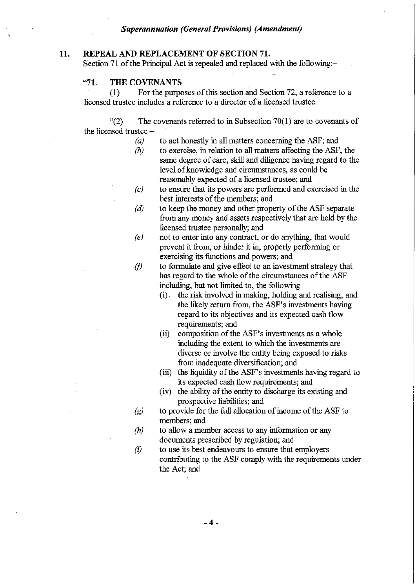# **11.** REPEAL AND REPLACEMENT **OF** SECTION 71.

Section 71 of the Principal Act is repealed and replaced with the following:-

# "71. **THE** COVENANTS,

(1) For the purposes of this section and Section 72, a reference to a licensed trustee includes a reference to a director of a licensed trustee.

 $\Gamma(2)$  The covenants referred to in Subsection 70(1) are to covenants of the licensed trustee-

- *(a)*  to act honestly in all matters concerning the ASF; and
- *(b)*  to exercise, in relation to all matters affecting the ASF, the same degree of care, skill and diligence having regard to the level of knowledge and circumstances, as could be reasonably expected of a licensed trustee; and
- *(c)*  to ensure that its powers are perfonned and exercised in the best interests of the members; and
- *(d)*  to keep the money and other property of the ASF separate from any money and assets respectively that are held by the licensed trustee personally; and
- *(e)*  not to enter into any contract, or do anything, that would prevent it from, or hinder it in, properly performing or exercising its functions and powers; and
- $\langle f \rangle$ to fonnulate and give effect to an investment strategy that has regard to the whole of the circumstances of the ASF including, but not limited to, the following-
	- (i) . the risk involved in making, holding and realising, and the likely return from, the ASF's investments having regard to its objectives and its expected cash flow requirements; and
	- (ii) composition of the ASF's investments as a whole including the extent to which the investments are diverse or involve the entity being exposed to risks from inadequate diversification; and
	- (iii) the liquidity of the ASF's investments having regard to its expected cash flow requirements; and
	- (iv) the ability of the entity to discharge its existing and prospective liabilities; and
- *(g)*  to provide for the full allocation of income of the ASF to members; and
- *(h)*  to allow a member access to any information or any documents prescribed by regulation; and
- (i) to use its best endeavours to ensure that employers contributing to the ASF comply with the requirements under the Act; and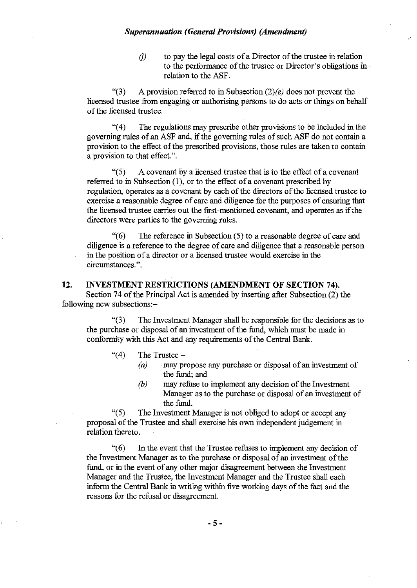$f(i)$  to pay the legal costs of a Director of the trustee in relation to the performance of the trustee or Director's obligations in . relation to the ASF.

"(3) A provision referred to in Subsection *(2)(e)* does not prevent the licensed trustee from engaging or authorising persons to do acts or things on behalf ofthe licensed trustee.

"(4) The regulations may prescribe other provisions to be included in the governing rules of an ASF and, if the governing rules of such ASF do not contain a provision to the effect of the prescribed provisions, those rules are taken to contain a provision to that effect.".

 $\degree$ (5) A covenant by a licensed trustee that is to the effect of a covenant referred to in Subsection (1), or to the effect of a covenant prescribed by regulation, operates as a covenant by each of the directors of the licensed trustee to exercise a reasonable degree of care and diligence for the purposes of ensuring that the licensed trustee carries out the first-mentioned covenant, and operates as if the directors were parties to the governing rules.

 $\degree$ (6) The reference in Subsection (5) to a reasonable degree of care and diligence is a reference to the degree of care and diligence that a reasonable person in the position of a director or a licensed trustee would exercise in the circumstances.".

#### **12. INVESTMENT RESTRICTIONS (AMENDMENT OF SECTION 74).**

Section 74 of the Principal Act is amended by inserting after Subsection (2) the following new subsections:-

"(3) The Investment Manager shall be responsible for the decisions as to the purchase or disposal of an investment of the fund, which must be made in conformity with this Act and any requirements of the Central Bank.

## " $(4)$  The Trustee -

- *(a)* may propose any purchase or disposal of an investment of the fund; and
- *(b)* may refuse to implement any decision of the Investment Manager as to the purchase or disposal of an investment of the fund.

"(5) The Investment Manager is not obliged to adopt or accept any proposal of the Trustee and shall exercise his own independent judgement in relation thereto.

"(6) In the event that the Trustee refuses to implement any decision of the Investment Manager as to the purchase or disposal of an investment of the fund, or in the event of any other major disagreement between the Investment Manager and the Trustee, the Investment Manager and the Trustee shall each inform the Central Bank in writing within five working days of the fact and the reasons for the refusal or disagreement.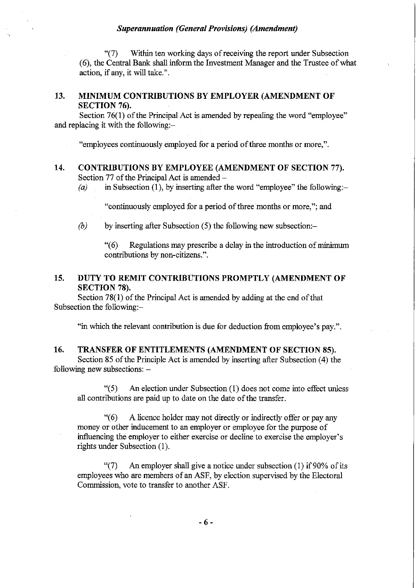"(7) Within ten working days of receiving the report under Subsection (6), the Central Bank shall infonn the Investment Manager and the Trustee of what action, if any, it will take.".

# 13. MINIMUM CONTRIBUTIONS BY EMPLOYER (AMENDMENT OF SECTION 76).

Section 76(1) of the Principal Act is amended by repealing the word "employee" and replacing it with the following:-

"employees continuously employed for a period of three months or more,".

#### 14. CONTRIBUTIONS BY EMPLOYEE (AMENDMENT OF SECTION 77). Section 77 of the Principal Act is amended  $-$

*(a)* in Subsection (1), by inserting after the word "employee" the following:-

"continuously employed for a period of three months or more,"; and

*(b)* by inserting after Subsection (5) the following new subsection:-

"(6) Regulations may prescribe a delay in the introduction of minimum contributions by non-citizens.".

## 15. DUTY TO REMIT CONTRIBUTIONS PROMPTLY (AMENDMENT OF SECTION 78).

Section 78(1) of the Principal Act is amended by adding at the end of that Subsection the following:-

"in which the relevant contribution is due for deduction from employee's pay.".

#### 16. TRANSFER OF ENTITLEMENTS (AMENDMENT OF SECTION 85).

Section 85 of the Principle Act is amended by inserting after Subsection (4) the following new subsections:  $-$ 

"(5) An election under Subsection (1) does not come into effect unless all contributions are paid up to date on the date of the transfer.

"(6) A licence holder may not directly or indirectly offer or pay any money or other inducement to an employer or employee for the purpose of influencing the employer to either exercise or decline to exercise the employer's rights under Subsection (l).

"(7) An employer shall give a notice under subsection (1) if  $90\%$  of its employees who are members of an ASF, by election supervised by the Electoral Commission, vote to transfer to another ASF.

- 6 -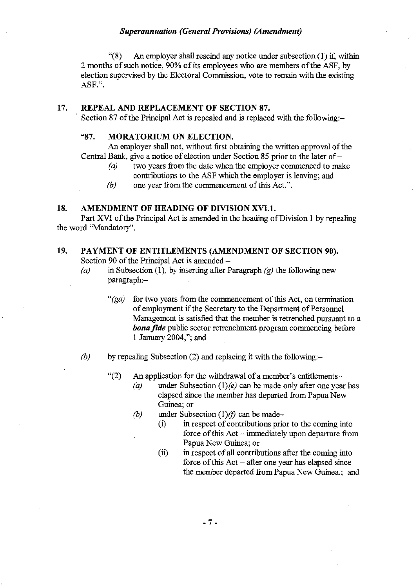"(8) An employer shall rescind any notice under subsection (1) if, within 2 months of such notice, 90% of its employees who are members of the ASF, by election supervised by the Electoral Commission, vote to remain with the existing ASF.".

## 17. REPEAL AND REPLACEMENT OF SECTION 87.

Section 87 of the Principal Act is repealed and is replaced with the following:-

## "87. MORATORIUM ON ELECTION.

An employer shall not, without first obtaining the written approval of the Central Bank, give a notice of election under Section 85 prior to the later of  $-a$  two vears from the date when the employer commenced to ma

- two years from the date when the employer commenced to make contributions to the ASF which the employer is leaving; and
- *(b)* one year from the commencement of this Act.".

# 18. AMENDMENT OF HEADING OF DIVISION XVI.1.

Part XVI of the Principal Act is amended in the heading of Division 1 by repealing the word "Mandatory".

# 19. PAYMENT OF ENTITLEMENTS (AMENDMENT OF SECTION 90). Section 90 of the Principal Act is amended -

- (a) in Subsection (1), by inserting after Paragraph *(g)* the following new paragraph:-
	- " $(ga)$  for two years from the commencement of this Act, on termination of employment if the Secretary to the Department of Personnel Management is satisfied that the member is retrenched pursuant to a *bona fide* public sector retrenchment program commencing before 1 January 2004,"; and
- $(b)$  by repealing Subsection (2) and replacing it with the following:-
	- $\degree$ (2) An application for the withdrawal of a member's entitlements-
		- *(a)* under Subsection *(l)(e)* can be made only after one year has elapsed since the member has departed from Papua New Guinea; or
		- $(b)$  under Subsection  $(1)(f)$  can be made-
			- (i) in respect of contributions prior to the coming into force of this  $Act$  - immediately upon departure from Papua New Guinea; or
			- (ii) in respect of all contributions after the coming into force of this  $Act - after one year has elapsed since$ the member departed from Papua New Guinea.; and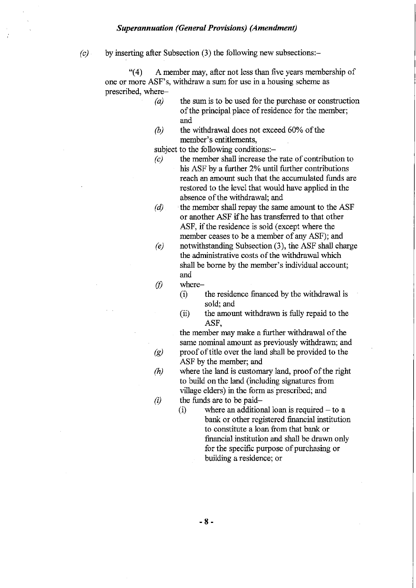$(c)$  by inserting after Subsection (3) the following new subsections:-

"(4) A member may, after not less than five years membership of one or more ASF's, withdraw a sum for use in a housing scheme as prescribed, where-

- *(a)*  the sum is to be used for the purchase or construction of the principal place of residence for the member; and
- *(b)*  the withdrawal does not exceed 60% of the member's entitlements,

subject to the following conditions:-

- *(c)* the member shall increase the rate of contribution to his ASF by a further 2% until further contributions reach an amount such that the accumulated funds are restored to the level that would have applied in the absence of the withdrawal; and
- *(d)* the member shall repay the same amount to the ASF or another ASF ifhe has transferred to that other ASF, if the residence is sold (except where the member ceases to be a member of any ASF); and
- *(e)* notwithstanding Subsection (3), the ASF shall charge the administrative costs of the withdrawal which shall be borne by the member's individual account; and
- $(f)$  where-
	- (i) the residence financed by the withdrawal is sold; and
	- (ii) the amount withdrawn is fully repaid to the ASF,

the member may make a further withdrawal of the same nominal amount as previously withdrawn; and *(g)* proof of title over the land shall be provided to the ASF by the member; and

*(h)* where the land is customary land, proof of the right to build on the land (including signatures from village elders) in the form as prescribed; and

 $(i)$  the funds are to be paid-<br> $(i)$  where an addition

where an additional loan is required  $-$  to a bank or other registered financial institution to constitute a loan from that bank or financial institution and shall be drawn only for the specific purpose of purchasing or building a residence; or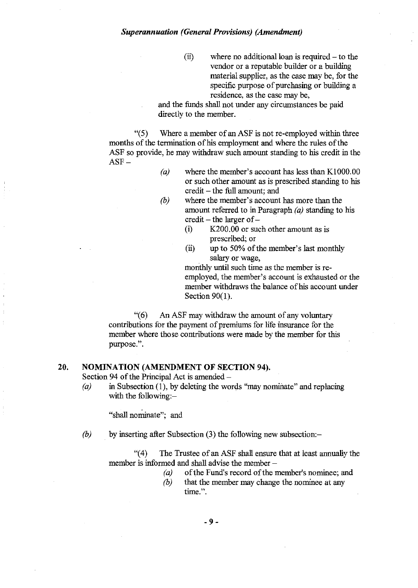$(ii)$  where no additional loan is required  $-$  to the vendor or a reputable builder or a building material supplier, as the case may be, for the specific purpose of purchasing or building a residence, as the case may be,

and tbe funds shall not under any circumstances be paid directly to the member.

 $\degree$ (5) Where a member of an ASF is not re-employed within three months of the termination of his employment and where the rules of the ASF so provide, he may withdraw such amount standing to his credit in the  $ASF -$ 

- *(a)* where tbe member's account has less than Kl 000.00 or such other amount as is prescribed standing to his credit - the full amount; and
- *(b)* where the member's account has more than the amount referred to in Paragraph  $(a)$  standing to his  $credit - the larger of -$ 
	- (i) K200.00 or such other amount as is prescribed; or
	- (ii) up to 50% of the member's last monthly salary or wage,

monthly until such time as the member is reemployed, the member's account is exhausted or tbe member withdraws the balance of his account under Section 90(1).

"(6) An ASF may witbdraw tbe amount of any voluntary contributions for the payment of premiums for life insurance for the member where those contributions were made by the member for this purpose.".

## **20. NOMINATION (AMENDMENT OF SECTION 94).**

Section 94 of the Principal Act is amended -

*(a)* in Subsection (1), by deleting the words "may nominate" and replacing with the following:-

"shall nominate"; and

*(b)* by inserting after Subsection (3) the following new subsection:-

"(4) The Trustee of an ASF shall ensure that at least annually the member is informed and shall advise the member  $-$ 

- (a) of the Fund's record of the member's nominee; and
- *(b)* that the member may change the nominee at any **time.".**

- 9-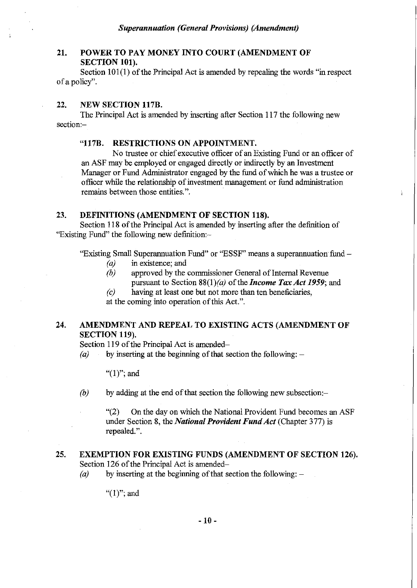# 21. POWER TO PAY MONEY INTO COURT (AMENDMENT OF SECTION 101).

Section  $101(1)$  of the Principal Act is amended by repealing the words "in respect of a policy".

#### 22. NEW SECTION 117B.

The Principal Act is amended by inserting after Section 117 the following new section:-

## "117B. RESTRICTIONS ON APPOINTMENT.

No trustee or chief executive officer of an Existing Fund or an officer of an ASF may be employed or engaged directly or indirectly by an Investment Manager or Fund Administrator engaged by the fund of which he was a trustee or officer while the relationship of investment management or fund administration remains between those entities.".

#### 23. DEFINITIONS (AMENDMENT OF SECTION 118).

Section 118 of the Principal Act is amended by inserting after the definition of "Existing Fund" the following new definition:-

"Existing Small Superannuation Fund" or "ESSF" means a superannuation fund-

- *(a)* in existence; and
- *(b)* approved by the commissioner General of Internal Revenue pursuant to Section *88(1)(a)* of the *Income Tax Act* 1959; and

*(c)* having at least one but not more than ten beneficiaries,

at the coming into operation of this Act.".

# 24. AMENDMENT AND REPEAL TO EXISTING ACTS (AMENDMENT OF SECTION 119).

Section 119 of the Principal Act is amended-

(a) by inserting at the beginning of that section the following:  $-$ 

" $(1)$ "; and

*(b)* by adding at the end of that section the following new subsection:-

"(2) On the day on which the National Provident Fund becomes an ASF under Section 8, the *National Provident FundAct* (Chapter 377) is repealed.".

#### 25. EXEMPTION FOR EXISTING FUNDS (AMENDMENT OF SECTION 126). Section 126 of the Principal Act is amended-

 $(a)$  by inserting at the beginning of that section the following:  $-$ 

" $(1)$ "; and

-10 -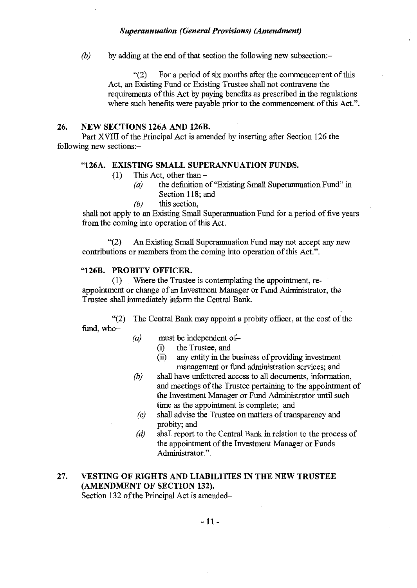*(b)* by adding at the end of that section the following new subsection:-

"(2) For a period of six months after the commencement of this Act, an Existing Fund or Existing Trustee shall not contravene the requirements of this Act by paying benefits as prescribed in the regulations where such benefits were payable prior to the commencement of this Act.".

## 26. NEW SECTIONS 126A AND 126B.

Part XVIII of the Principal Act is amended by inserting after Section 126 the following new sections:-

#### "126A. EXISTING SMALL SUPERANNUATION FUNDS.

- $(1)$  This Act, other than  $-$ 
	- $(a)$  the definition of "Existing Small Superannuation Fund" in Section 118; and
	- *(b)* this section,

shall not apply to an Existing Small Superannuation Fund for a period of five years from the coming into operation of this Act.

"(2) An Existing Small Superannuation Fund may not accept any new contributions or members from the coming into operation of this Act.".

# "126B. PROBITY OFFICER.

(1) Where the Trustee is contemplating the appointment, reappointment or change of an Investment Manager or Fund Administrator, the Trustee shall inunediately inform the Central Bank.

"(2) The Central Bank may appoint a probity officer, at the cost of the fund, who-

- *(a)* must be independent of-
	- (i) the Trustee, and
	- (ii) any entity in the business of providing investment management or fund administration services; and
- *(b)* shall have unfettered access to all documents, information, and meetings of the Trustee pertaining to the appointment of the Investment Manager or Fund Administrator until such time as the appointment is complete; and
- *(c)* shall advise the Trustee on matters of transparency and probity; and
- *(d)* shall report to the Central Bank in relation to the process of the appointment of the Investment Manager or Funds Administrator.".

## 27. VESTING OF RIGHTS AND LIABILITIES IN THE NEW TRUSTEE (AMENDMENT OF SECTION 132). Section 132 of the Principal Act is amended-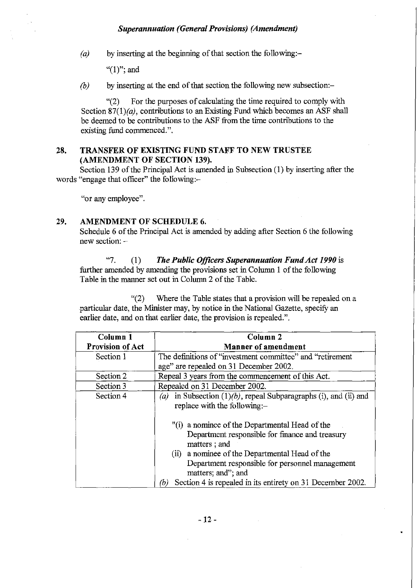*(a)* by inserting at the beginning of that section the following:-

" $(1)$ "; and

*(b)* by inserting at the end of that section the following new subsection:-

"(2) For the purposes of calculating the time required to comply with Section 87(1)(a), contributions to an Existing Fund which becomes an ASF shall be deemed to be contributions to the ASF from the time contributions to the existing fimd commenced.".

## **28. TRANSFER OF EXISTING FUND STAFF TO NEW TRUSTEE (AMENDMENT OF SECTION 139).**

Section 139 of the Principal Act is amended in Subsection (1) by inserting after the words "engage that officer" the following:-

"or any employee".

## **29. AMENDMENT OF SCHEDULE 6.**

Schedule 6 of the Principal Act is amended by adding after Section 6 the following new section: -

"7. (1) *The Public Officers Superannuation FundAct 1990* is further amended by amending the provisions set in Column 1 of the following Table in the manner set out in Column 2 of the Table.

"(2) Where the Table states that a provision will be repealed on a particular date, the Minister may, by notice in the National Gazette, specify an earlier date, and on that earlier date, the provision is repealed.".

| Column 1                | Column <sub>2</sub>                                                                                                                                                                                                                             |
|-------------------------|-------------------------------------------------------------------------------------------------------------------------------------------------------------------------------------------------------------------------------------------------|
| <b>Provision of Act</b> | Manner of amendment                                                                                                                                                                                                                             |
| Section 1               | The definitions of "investment committee" and "retirement                                                                                                                                                                                       |
|                         | age" are repealed on 31 December 2002.                                                                                                                                                                                                          |
| Section 2               | Repeal 3 years from the commencement of this Act.                                                                                                                                                                                               |
| Section 3               | Repealed on 31 December 2002.                                                                                                                                                                                                                   |
| Section 4               | in Subsection $(1)(b)$ , repeal Subparagraphs (i), and (ii) and<br>(a)<br>replace with the following:-                                                                                                                                          |
|                         | "(i) a nominee of the Departmental Head of the<br>Department responsible for finance and treasury<br>matters; and<br>a nominee of the Departmental Head of the<br>(ii)<br>Department responsible for personnel management<br>matters; and"; and |
|                         | Section 4 is repealed in its entirety on 31 December 2002.<br>(b)                                                                                                                                                                               |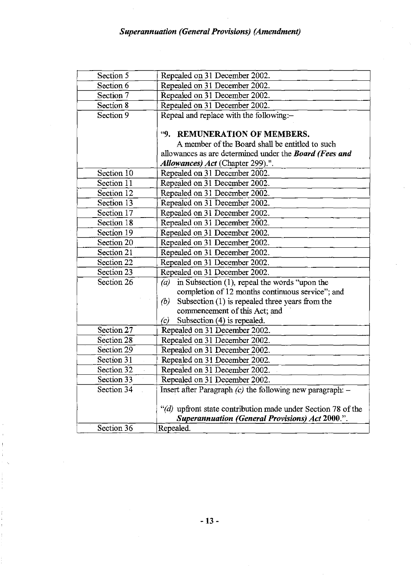| Section 5    | Repealed on 31 December 2002.                                 |
|--------------|---------------------------------------------------------------|
| Section 6    | Repealed on 31 December 2002.                                 |
| Section 7    | Repealed on 31 December 2002.                                 |
| Section 8    | Repealed on 31 December 2002.                                 |
| Section 9    | Repeal and replace with the following:-                       |
|              |                                                               |
|              | "9. REMUNERATION OF MEMBERS.                                  |
|              | A member of the Board shall be entitled to such               |
|              | allowances as are determined under the <b>Board</b> (Fees and |
|              | Allowances) Act (Chapter 299).".                              |
| Section 10   | Repealed on 31 December 2002.                                 |
| Section 11   | Repealed on 31 December 2002.                                 |
| Section 12   | Repealed on 31 December 2002.                                 |
| Section 13   | Repealed on 31 December 2002.                                 |
| Section 17   | Repealed on 31 December 2002.                                 |
| Section 18   | Repealed on 31 December 2002.                                 |
| Section 19   | Repealed on 31 December 2002.                                 |
| Section 20   | Repealed on 31 December 2002.                                 |
| Section 21   | Repealed on 31 December 2002.                                 |
| Section 22   | Repealed on 31 December 2002.                                 |
| Section 23   | Repealed on 31 December 2002.                                 |
| Section 26   | in Subsection $(1)$ , repeal the words "upon the<br>(a)       |
|              | completion of 12 months continuous service"; and              |
|              | Subsection $(1)$ is repealed three years from the<br>(b)      |
|              | commencement of this Act; and                                 |
|              | Subsection (4) is repealed.<br>(c)                            |
| Section $27$ | Repealed on 31 December 2002.                                 |
| Section 28   | Repealed on 31 December 2002.                                 |
| Section 29   | Repealed on 31 December 2002.                                 |
| Section $31$ | Repealed on 31 December 2002.                                 |
| Section 32   | Repealed on 31 December 2002.                                 |
| Section 33   | Repealed on 31 December 2002.                                 |
| Section 34   | Insert after Paragraph $(c)$ the following new paragraph: $-$ |
|              |                                                               |
|              | "(d) upfront state contribution made under Section 78 of the  |
|              | <b>Superannuation (General Provisions) Act 2000.".</b>        |
| Section 36   | Repealed.                                                     |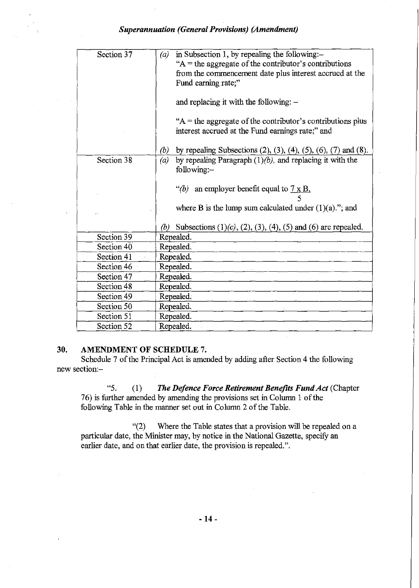| Section 37 | in Subsection 1, by repealing the following:-<br>(a)                                      |
|------------|-------------------------------------------------------------------------------------------|
|            | " $A$ = the aggregate of the contributor's contributions                                  |
|            | from the commencement date plus interest accrued at the                                   |
|            | Fund earning rate,"                                                                       |
|            |                                                                                           |
|            | and replacing it with the following: $-$                                                  |
|            | $A$ = the aggregate of the contributor's contributions plus                               |
|            | interest accrued at the Fund earnings rate;" and                                          |
|            |                                                                                           |
|            | (b)<br>by repealing Subsections $(2)$ , $(3)$ , $(4)$ , $(5)$ , $(6)$ , $(7)$ and $(8)$ . |
| Section 38 | by repealing Paragraph $(1)(b)$ , and replacing it with the<br>(a)                        |
|            | following:-                                                                               |
|            |                                                                                           |
|            | "(b) an employer benefit equal to $7 \times B$ ,                                          |
|            |                                                                                           |
|            | where B is the lump sum calculated under $(1)(a)$ ."; and                                 |
|            |                                                                                           |
|            | (b) Subsections $(1)(c)$ , $(2)$ , $(3)$ , $(4)$ , $(5)$ and $(6)$ are repealed.          |
| Section 39 | Repealed.                                                                                 |
| Section 40 | Repealed.                                                                                 |
| Section 41 | Repealed.                                                                                 |
| Section 46 | Repealed.                                                                                 |
| Section 47 | Repealed.                                                                                 |
| Section 48 | Repealed.                                                                                 |
| Section 49 | Repealed.                                                                                 |
| Section 50 | Repealed.                                                                                 |
| Section 51 | Repealed.                                                                                 |
| Section 52 | Repealed.                                                                                 |

#### 30. AMENDMENT **OF** SCHEDULE 7.

Schedule 7 of the Principal Act is amended by adding after Section 4 the following new section:-

"5. (1) *The Defence Force Retirement Benefits FundAct* (Chapter 76) is further amended by amending the provisions set in Column 1 of the following Table in the manner set out in Column 2 of the Table.

"(2) Where the Table states that a provision will be repealed on a particular date, the Minister may, by notice in the National Gazette, specify an earlier date, and on that earlier date, the provision is repealed.".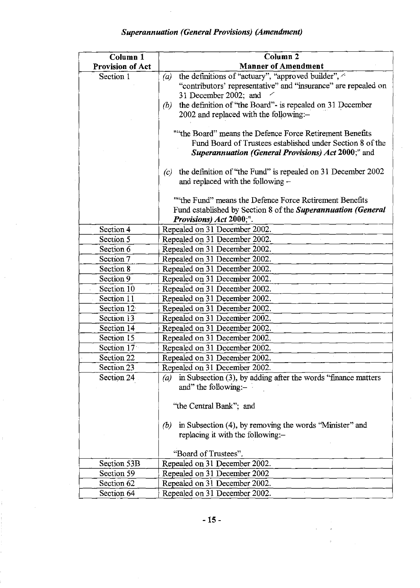| Column 1                | Column <sub>2</sub>                                                                              |
|-------------------------|--------------------------------------------------------------------------------------------------|
| <b>Provision of Act</b> | <b>Manner of Amendment</b>                                                                       |
| Section 1               | the definitions of "actuary", "approved builder", $\sim$<br>(a)                                  |
|                         | "contributors' representative" and "insurance" are repealed on                                   |
|                         | 31 December 2002; and                                                                            |
|                         | the definition of "the Board" - is repealed on 31 December<br>(b)                                |
|                         | 2002 and replaced with the following:-                                                           |
|                         | ""the Board" means the Defence Force Retirement Benefits                                         |
|                         | Fund Board of Trustees established under Section 8 of the                                        |
|                         | <b>Superannuation (General Provisions) Act 2000;" and</b>                                        |
|                         |                                                                                                  |
|                         | the definition of "the Fund" is repealed on 31 December 2002<br>(c)                              |
|                         | and replaced with the following -                                                                |
|                         |                                                                                                  |
|                         | "the Fund" means the Defence Force Retirement Benefits                                           |
|                         | Fund established by Section 8 of the Superannuation (General                                     |
|                         | <i>Provisions)</i> Act 2000;".                                                                   |
| Section 4               | Repealed on 31 December 2002.                                                                    |
| Section 5               | Repealed on 31 December 2002.                                                                    |
| Section 6               | Repealed on 31 December 2002.                                                                    |
| Section 7               | Repealed on 31 December 2002.                                                                    |
| Section 8               | Repealed on 31 December 2002.                                                                    |
| Section 9               | Repealed on 31 December 2002.                                                                    |
| Section 10              | Repealed on 31 December 2002.                                                                    |
| Section 11              | Repealed on 31 December 2002.                                                                    |
| Section 12              | Repealed on 31 December 2002.                                                                    |
| Section 13              | Repealed on 31 December 2002.                                                                    |
| Section 14              | Repealed on 31 December 2002.                                                                    |
| Section 15              | Repealed on 31 December 2002.                                                                    |
| Section 17 <sup>%</sup> | Repealed on 31 December 2002.                                                                    |
| Section 22              | Repealed on 31 December 2002.                                                                    |
| Section 23              | Repealed on 31 December 2002.                                                                    |
| Section 24              | in Subsection (3), by adding after the words "finance matters"<br>(a)<br>and" the following: $-$ |
|                         | "the Central Bank"; and                                                                          |
|                         |                                                                                                  |
|                         | in Subsection (4), by removing the words "Minister" and<br>(b)                                   |
|                         | replacing it with the following:-                                                                |
|                         | "Board of Trustees".                                                                             |
| Section 53B             | Repealed on 31 December 2002.                                                                    |
| Section 59              | Repealed on 31 December 2002                                                                     |
| Section 62              | Repealed on 31 December 2002.                                                                    |
| Section 64              |                                                                                                  |
|                         | Repealed on 31 December 2002.                                                                    |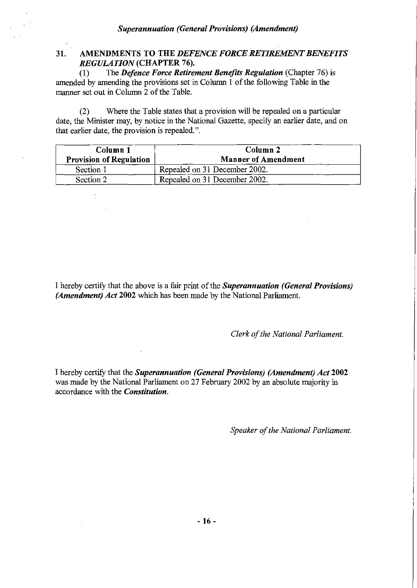# 31. AMENDMENTS TO THE *DEFENCE FORCE RETIREMENT BENEFITS REGULATION* (CHAPTER 76).<br>(1) The *Defence Force Retires*

(1) The *Defence Force Retirement Benefits Regulation* (Chapter 76) is amended by amending the provisions set in Column 1 of the following Table in the manner set out in Column 2 of the Table.

(2) Where the Table states that a provision will be repealed on a particular date, the Minister may, by notice in the National Gazette, specify an earlier date, and on that earlier date, the provision is repealed.".

| Column 1<br><b>Provision of Regulation</b> | Column <sub>2</sub><br><b>Manner of Amendment</b> |
|--------------------------------------------|---------------------------------------------------|
| Section 1                                  | Repealed on 31 December 2002.                     |
| Section 2                                  | Repealed on 31 December 2002.                     |

 $\frac{1}{\sqrt{2}}$ 

I hereby certify that the above is a fair print of the *Superannuation (General Provisions) (Amendment) Act* 2002 which has been made by the National Parliament.

*Clerk of the National Parliament.* 

I hereby certify that the *Superannuation (General Provisions) (Amendment) Act* 2002 was made by the National Parliament on 27 February 2002 by an absolute majority in accordance with the *Constitution.* 

*Speaker of the National Parliament.*